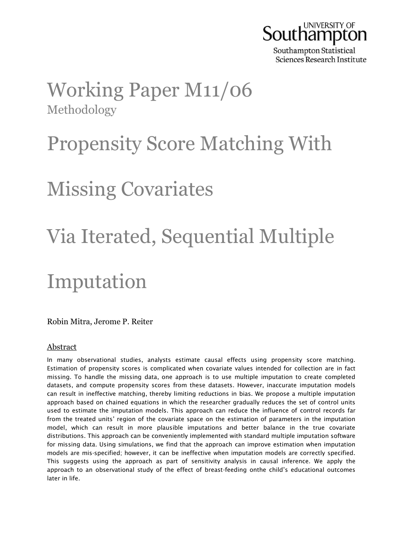

Southampton Statistical Sciences Research Institute

## Working Paper M11/06 Methodology

# Propensity Score Matching With

# Missing Covariates

# Via Iterated, Sequential Multiple

## Imputation

Robin Mitra, Jerome P. Reiter

### Abstract

In many observational studies, analysts estimate causal effects using propensity score matching. Estimation of propensity scores is complicated when covariate values intended for collection are in fact missing. To handle the missing data, one approach is to use multiple imputation to create completed datasets, and compute propensity scores from these datasets. However, inaccurate imputation models can result in ineffective matching, thereby limiting reductions in bias. We propose a multiple imputation approach based on chained equations in which the researcher gradually reduces the set of control units used to estimate the imputation models. This approach can reduce the influence of control records far from the treated units' region of the covariate space on the estimation of parameters in the imputation model, which can result in more plausible imputations and better balance in the true covariate distributions. This approach can be conveniently implemented with standard multiple imputation software for missing data. Using simulations, we find that the approach can improve estimation when imputation models are mis-specified; however, it can be ineffective when imputation models are correctly specified. This suggests using the approach as part of sensitivity analysis in causal inference. We apply the approach to an observational study of the effect of breast-feeding onthe child's educational outcomes later in life.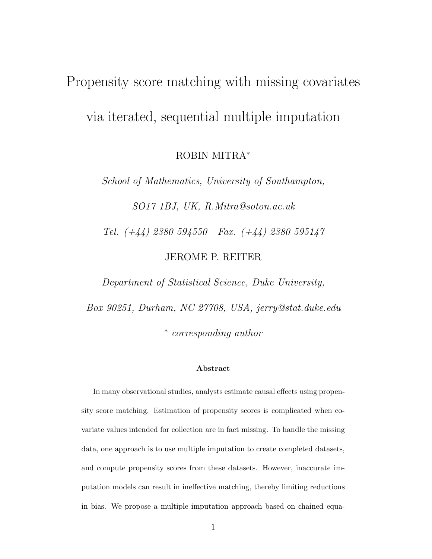# Propensity score matching with missing covariates via iterated, sequential multiple imputation

ROBIN MITRA<sup>∗</sup>

School of Mathematics, University of Southampton,

SO17 1BJ, UK, R.Mitra@soton.ac.uk

Tel. (+44) 2380 594550 Fax. (+44) 2380 595147

JEROME P. REITER

Department of Statistical Science, Duke University,

Box 90251, Durham, NC 27708, USA, jerry@stat.duke.edu

∗ corresponding author

#### Abstract

In many observational studies, analysts estimate causal effects using propensity score matching. Estimation of propensity scores is complicated when covariate values intended for collection are in fact missing. To handle the missing data, one approach is to use multiple imputation to create completed datasets, and compute propensity scores from these datasets. However, inaccurate imputation models can result in ineffective matching, thereby limiting reductions in bias. We propose a multiple imputation approach based on chained equa-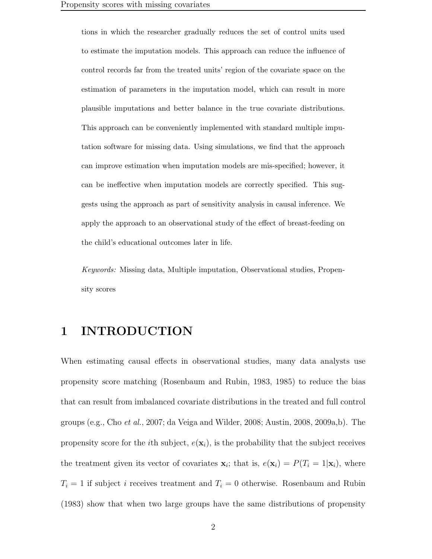tions in which the researcher gradually reduces the set of control units used to estimate the imputation models. This approach can reduce the influence of control records far from the treated units' region of the covariate space on the estimation of parameters in the imputation model, which can result in more plausible imputations and better balance in the true covariate distributions. This approach can be conveniently implemented with standard multiple imputation software for missing data. Using simulations, we find that the approach can improve estimation when imputation models are mis-specified; however, it can be ineffective when imputation models are correctly specified. This suggests using the approach as part of sensitivity analysis in causal inference. We apply the approach to an observational study of the effect of breast-feeding on the child's educational outcomes later in life.

Keywords: Missing data, Multiple imputation, Observational studies, Propensity scores

### 1 INTRODUCTION

When estimating causal effects in observational studies, many data analysts use propensity score matching (Rosenbaum and Rubin, 1983, 1985) to reduce the bias that can result from imbalanced covariate distributions in the treated and full control groups (e.g., Cho et al., 2007; da Veiga and Wilder, 2008; Austin, 2008, 2009a,b). The propensity score for the *i*th subject,  $e(\mathbf{x}_i)$ , is the probability that the subject receives the treatment given its vector of covariates  $\mathbf{x}_i$ ; that is,  $e(\mathbf{x}_i) = P(T_i = 1 | \mathbf{x}_i)$ , where  $T_i = 1$  if subject i receives treatment and  $T_i = 0$  otherwise. Rosenbaum and Rubin (1983) show that when two large groups have the same distributions of propensity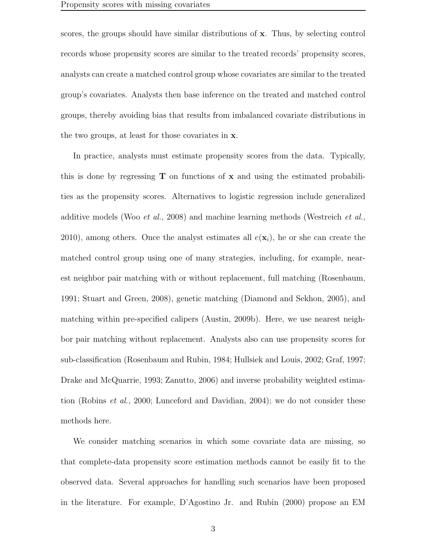scores, the groups should have similar distributions of x. Thus, by selecting control records whose propensity scores are similar to the treated records' propensity scores, analysts can create a matched control group whose covariates are similar to the treated group's covariates. Analysts then base inference on the treated and matched control groups, thereby avoiding bias that results from imbalanced covariate distributions in the two groups, at least for those covariates in x.

In practice, analysts must estimate propensity scores from the data. Typically, this is done by regressing  $\bf{T}$  on functions of  $\bf{x}$  and using the estimated probabilities as the propensity scores. Alternatives to logistic regression include generalized additive models (Woo et al., 2008) and machine learning methods (Westreich et al., 2010), among others. Once the analyst estimates all  $e(\mathbf{x}_i)$ , he or she can create the matched control group using one of many strategies, including, for example, nearest neighbor pair matching with or without replacement, full matching (Rosenbaum, 1991; Stuart and Green, 2008), genetic matching (Diamond and Sekhon, 2005), and matching within pre-specified calipers (Austin, 2009b). Here, we use nearest neighbor pair matching without replacement. Analysts also can use propensity scores for sub-classification (Rosenbaum and Rubin, 1984; Hullsiek and Louis, 2002; Graf, 1997; Drake and McQuarrie, 1993; Zanutto, 2006) and inverse probability weighted estimation (Robins et al., 2000; Lunceford and Davidian, 2004); we do not consider these methods here.

We consider matching scenarios in which some covariate data are missing, so that complete-data propensity score estimation methods cannot be easily fit to the observed data. Several approaches for handling such scenarios have been proposed in the literature. For example, D'Agostino Jr. and Rubin (2000) propose an EM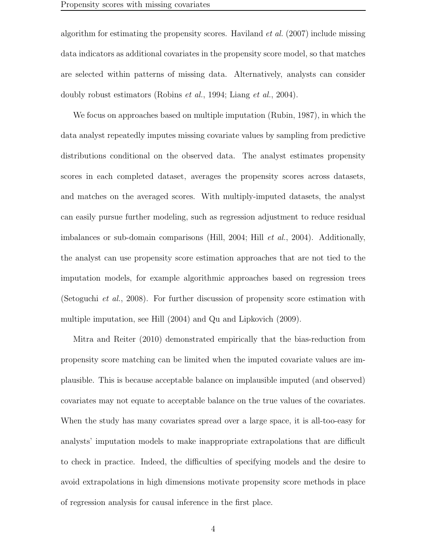algorithm for estimating the propensity scores. Haviland *et al.*  $(2007)$  include missing data indicators as additional covariates in the propensity score model, so that matches are selected within patterns of missing data. Alternatively, analysts can consider doubly robust estimators (Robins *et al.*, 1994; Liang *et al.*, 2004).

We focus on approaches based on multiple imputation (Rubin, 1987), in which the data analyst repeatedly imputes missing covariate values by sampling from predictive distributions conditional on the observed data. The analyst estimates propensity scores in each completed dataset, averages the propensity scores across datasets, and matches on the averaged scores. With multiply-imputed datasets, the analyst can easily pursue further modeling, such as regression adjustment to reduce residual imbalances or sub-domain comparisons (Hill, 2004; Hill et al., 2004). Additionally, the analyst can use propensity score estimation approaches that are not tied to the imputation models, for example algorithmic approaches based on regression trees (Setoguchi et al., 2008). For further discussion of propensity score estimation with multiple imputation, see Hill (2004) and Qu and Lipkovich (2009).

Mitra and Reiter (2010) demonstrated empirically that the bias-reduction from propensity score matching can be limited when the imputed covariate values are implausible. This is because acceptable balance on implausible imputed (and observed) covariates may not equate to acceptable balance on the true values of the covariates. When the study has many covariates spread over a large space, it is all-too-easy for analysts' imputation models to make inappropriate extrapolations that are difficult to check in practice. Indeed, the difficulties of specifying models and the desire to avoid extrapolations in high dimensions motivate propensity score methods in place of regression analysis for causal inference in the first place.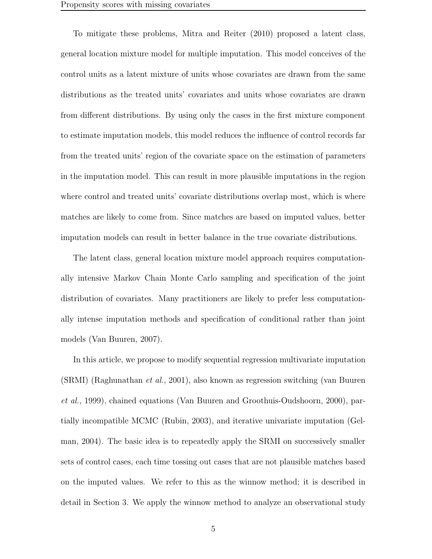To mitigate these problems, Mitra and Reiter (2010) proposed a latent class, general location mixture model for multiple imputation. This model conceives of the control units as a latent mixture of units whose covariates are drawn from the same distributions as the treated units' covariates and units whose covariates are drawn from different distributions. By using only the cases in the first mixture component to estimate imputation models, this model reduces the influence of control records far from the treated units' region of the covariate space on the estimation of parameters in the imputation model. This can result in more plausible imputations in the region where control and treated units' covariate distributions overlap most, which is where matches are likely to come from. Since matches are based on imputed values, better imputation models can result in better balance in the true covariate distributions.

The latent class, general location mixture model approach requires computationally intensive Markov Chain Monte Carlo sampling and specification of the joint distribution of covariates. Many practitioners are likely to prefer less computationally intense imputation methods and specification of conditional rather than joint models (Van Buuren, 2007).

In this article, we propose to modify sequential regression multivariate imputation (SRMI) (Raghunathan et al., 2001), also known as regression switching (van Buuren et al., 1999), chained equations (Van Buuren and Groothuis-Oudshoorn, 2000), partially incompatible MCMC (Rubin, 2003), and iterative univariate imputation (Gelman, 2004). The basic idea is to repeatedly apply the SRMI on successively smaller sets of control cases, each time tossing out cases that are not plausible matches based on the imputed values. We refer to this as the winnow method; it is described in detail in Section 3. We apply the winnow method to analyze an observational study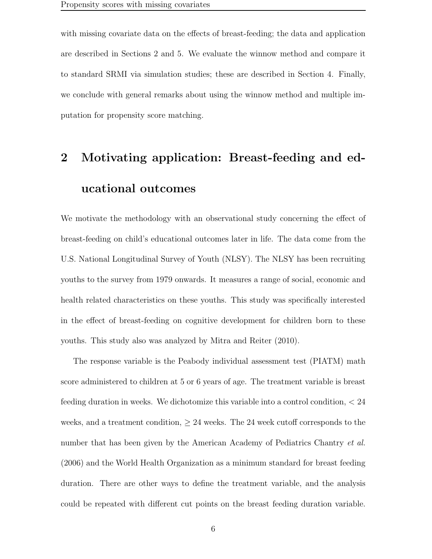with missing covariate data on the effects of breast-feeding; the data and application are described in Sections 2 and 5. We evaluate the winnow method and compare it to standard SRMI via simulation studies; these are described in Section 4. Finally, we conclude with general remarks about using the winnow method and multiple imputation for propensity score matching.

## 2 Motivating application: Breast-feeding and educational outcomes

We motivate the methodology with an observational study concerning the effect of breast-feeding on child's educational outcomes later in life. The data come from the U.S. National Longitudinal Survey of Youth (NLSY). The NLSY has been recruiting youths to the survey from 1979 onwards. It measures a range of social, economic and health related characteristics on these youths. This study was specifically interested in the effect of breast-feeding on cognitive development for children born to these youths. This study also was analyzed by Mitra and Reiter (2010).

The response variable is the Peabody individual assessment test (PIATM) math score administered to children at 5 or 6 years of age. The treatment variable is breast feeding duration in weeks. We dichotomize this variable into a control condition, < 24 weeks, and a treatment condition,  $\geq 24$  weeks. The 24 week cutoff corresponds to the number that has been given by the American Academy of Pediatrics Chantry *et al.* (2006) and the World Health Organization as a minimum standard for breast feeding duration. There are other ways to define the treatment variable, and the analysis could be repeated with different cut points on the breast feeding duration variable.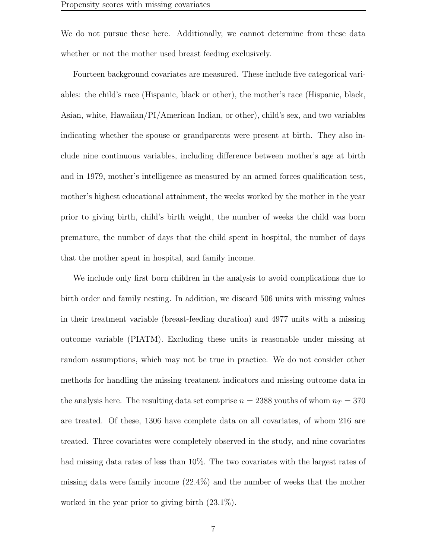We do not pursue these here. Additionally, we cannot determine from these data whether or not the mother used breast feeding exclusively.

Fourteen background covariates are measured. These include five categorical variables: the child's race (Hispanic, black or other), the mother's race (Hispanic, black, Asian, white, Hawaiian/PI/American Indian, or other), child's sex, and two variables indicating whether the spouse or grandparents were present at birth. They also include nine continuous variables, including difference between mother's age at birth and in 1979, mother's intelligence as measured by an armed forces qualification test, mother's highest educational attainment, the weeks worked by the mother in the year prior to giving birth, child's birth weight, the number of weeks the child was born premature, the number of days that the child spent in hospital, the number of days that the mother spent in hospital, and family income.

We include only first born children in the analysis to avoid complications due to birth order and family nesting. In addition, we discard 506 units with missing values in their treatment variable (breast-feeding duration) and 4977 units with a missing outcome variable (PIATM). Excluding these units is reasonable under missing at random assumptions, which may not be true in practice. We do not consider other methods for handling the missing treatment indicators and missing outcome data in the analysis here. The resulting data set comprise  $n = 2388$  youths of whom  $n_T = 370$ are treated. Of these, 1306 have complete data on all covariates, of whom 216 are treated. Three covariates were completely observed in the study, and nine covariates had missing data rates of less than 10%. The two covariates with the largest rates of missing data were family income (22.4%) and the number of weeks that the mother worked in the year prior to giving birth (23.1%).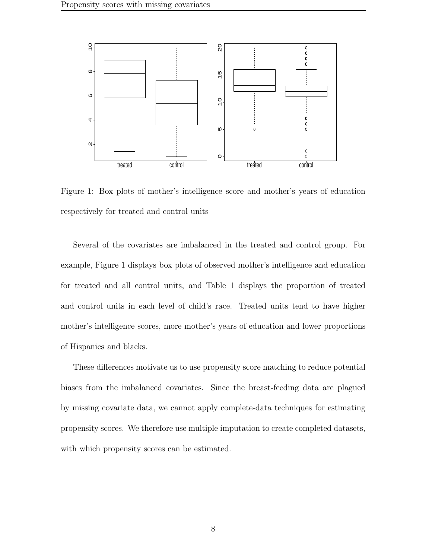

Figure 1: Box plots of mother's intelligence score and mother's years of education respectively for treated and control units

Several of the covariates are imbalanced in the treated and control group. For example, Figure 1 displays box plots of observed mother's intelligence and education for treated and all control units, and Table 1 displays the proportion of treated and control units in each level of child's race. Treated units tend to have higher mother's intelligence scores, more mother's years of education and lower proportions of Hispanics and blacks.

These differences motivate us to use propensity score matching to reduce potential biases from the imbalanced covariates. Since the breast-feeding data are plagued by missing covariate data, we cannot apply complete-data techniques for estimating propensity scores. We therefore use multiple imputation to create completed datasets, with which propensity scores can be estimated.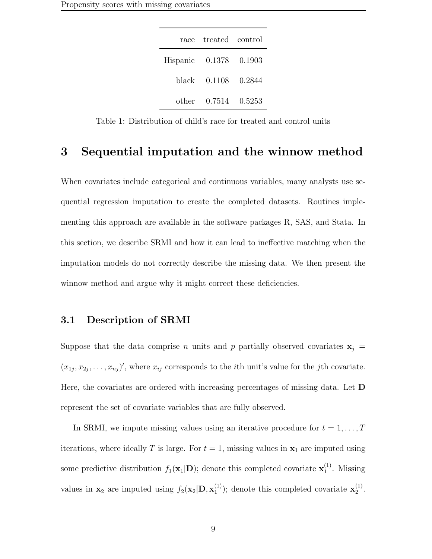| race                   | treated control     |  |
|------------------------|---------------------|--|
| Hispanic 0.1378 0.1903 |                     |  |
|                        | black 0.1108 0.2844 |  |
|                        | other 0.7514 0.5253 |  |

Table 1: Distribution of child's race for treated and control units

### 3 Sequential imputation and the winnow method

When covariates include categorical and continuous variables, many analysts use sequential regression imputation to create the completed datasets. Routines implementing this approach are available in the software packages R, SAS, and Stata. In this section, we describe SRMI and how it can lead to ineffective matching when the imputation models do not correctly describe the missing data. We then present the winnow method and argue why it might correct these deficiencies.

#### 3.1 Description of SRMI

Suppose that the data comprise n units and p partially observed covariates  $\mathbf{x}_j =$  $(x_{1j}, x_{2j}, \ldots, x_{nj})'$ , where  $x_{ij}$  corresponds to the *i*th unit's value for the *j*th covariate. Here, the covariates are ordered with increasing percentages of missing data. Let D represent the set of covariate variables that are fully observed.

In SRMI, we impute missing values using an iterative procedure for  $t = 1, \ldots, T$ iterations, where ideally T is large. For  $t = 1$ , missing values in  $x_1$  are imputed using some predictive distribution  $f_1(\mathbf{x}_1|\mathbf{D})$ ; denote this completed covariate  $\mathbf{x}_1^{(1)}$  $i<sup>1</sup>$ . Missing values in  $\mathbf{x}_2$  are imputed using  $f_2(\mathbf{x}_2|\mathbf{D}, \mathbf{x}_1^{(1)})$  $\binom{1}{1}$ ; denote this completed covariate  $\mathbf{x}_2^{(1)}$  $2^{(1)}$ .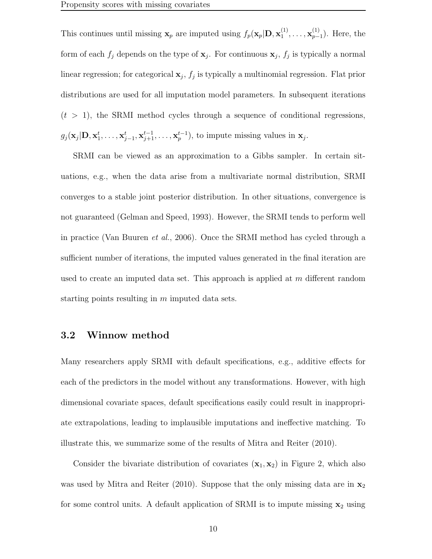This continues until missing  $\mathbf{x}_p$  are imputed using  $f_p(\mathbf{x}_p|\mathbf{D}, \mathbf{x}_1^{(1)})$  $1^{(1)}, \ldots, \mathbf{x}_{p-1}^{(1)}$ ). Here, the form of each  $f_j$  depends on the type of  $\mathbf{x}_j$ . For continuous  $\mathbf{x}_j$ ,  $f_j$  is typically a normal linear regression; for categorical  $x_j$ ,  $f_j$  is typically a multinomial regression. Flat prior distributions are used for all imputation model parameters. In subsequent iterations  $(t > 1)$ , the SRMI method cycles through a sequence of conditional regressions,  $g_j(\mathbf{x}_j|\mathbf{D}, \mathbf{x}_1^t, \dots, \mathbf{x}_{j-1}^t, \mathbf{x}_{j+1}^{t-1}, \dots, \mathbf{x}_p^{t-1}),$  to impute missing values in  $\mathbf{x}_j$ .

SRMI can be viewed as an approximation to a Gibbs sampler. In certain situations, e.g., when the data arise from a multivariate normal distribution, SRMI converges to a stable joint posterior distribution. In other situations, convergence is not guaranteed (Gelman and Speed, 1993). However, the SRMI tends to perform well in practice (Van Buuren et al., 2006). Once the SRMI method has cycled through a sufficient number of iterations, the imputed values generated in the final iteration are used to create an imputed data set. This approach is applied at m different random starting points resulting in  $m$  imputed data sets.

### 3.2 Winnow method

Many researchers apply SRMI with default specifications, e.g., additive effects for each of the predictors in the model without any transformations. However, with high dimensional covariate spaces, default specifications easily could result in inappropriate extrapolations, leading to implausible imputations and ineffective matching. To illustrate this, we summarize some of the results of Mitra and Reiter (2010).

Consider the bivariate distribution of covariates  $(\mathbf{x}_1, \mathbf{x}_2)$  in Figure 2, which also was used by Mitra and Reiter (2010). Suppose that the only missing data are in  $\mathbf{x}_2$ for some control units. A default application of SRMI is to impute missing  $x_2$  using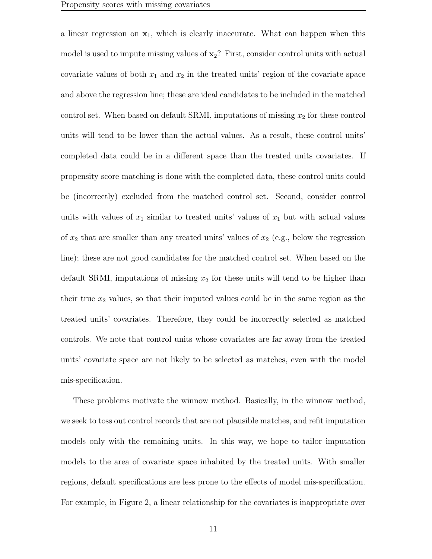a linear regression on  $x_1$ , which is clearly inaccurate. What can happen when this model is used to impute missing values of  $x_2$ ? First, consider control units with actual covariate values of both  $x_1$  and  $x_2$  in the treated units' region of the covariate space and above the regression line; these are ideal candidates to be included in the matched control set. When based on default SRMI, imputations of missing  $x_2$  for these control units will tend to be lower than the actual values. As a result, these control units' completed data could be in a different space than the treated units covariates. If propensity score matching is done with the completed data, these control units could be (incorrectly) excluded from the matched control set. Second, consider control units with values of  $x_1$  similar to treated units' values of  $x_1$  but with actual values of  $x_2$  that are smaller than any treated units' values of  $x_2$  (e.g., below the regression line); these are not good candidates for the matched control set. When based on the default SRMI, imputations of missing  $x_2$  for these units will tend to be higher than their true  $x_2$  values, so that their imputed values could be in the same region as the treated units' covariates. Therefore, they could be incorrectly selected as matched controls. We note that control units whose covariates are far away from the treated units' covariate space are not likely to be selected as matches, even with the model mis-specification.

These problems motivate the winnow method. Basically, in the winnow method, we seek to toss out control records that are not plausible matches, and refit imputation models only with the remaining units. In this way, we hope to tailor imputation models to the area of covariate space inhabited by the treated units. With smaller regions, default specifications are less prone to the effects of model mis-specification. For example, in Figure 2, a linear relationship for the covariates is inappropriate over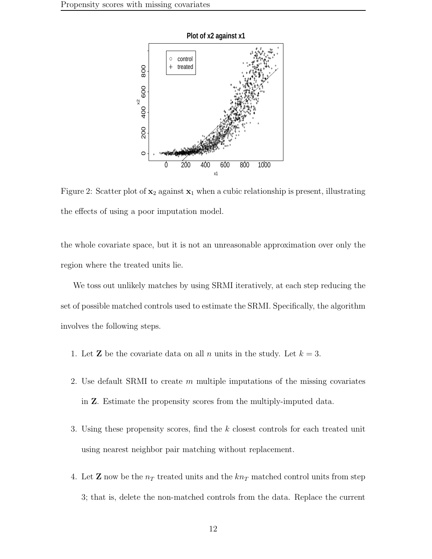

Figure 2: Scatter plot of  $x_2$  against  $x_1$  when a cubic relationship is present, illustrating the effects of using a poor imputation model.

the whole covariate space, but it is not an unreasonable approximation over only the region where the treated units lie.

We toss out unlikely matches by using SRMI iteratively, at each step reducing the set of possible matched controls used to estimate the SRMI. Specifically, the algorithm involves the following steps.

- 1. Let **Z** be the covariate data on all n units in the study. Let  $k = 3$ .
- 2. Use default SRMI to create  $m$  multiple imputations of the missing covariates in Z. Estimate the propensity scores from the multiply-imputed data.
- 3. Using these propensity scores, find the k closest controls for each treated unit using nearest neighbor pair matching without replacement.
- 4. Let **Z** now be the  $n<sub>T</sub>$  treated units and the  $kn<sub>T</sub>$  matched control units from step 3; that is, delete the non-matched controls from the data. Replace the current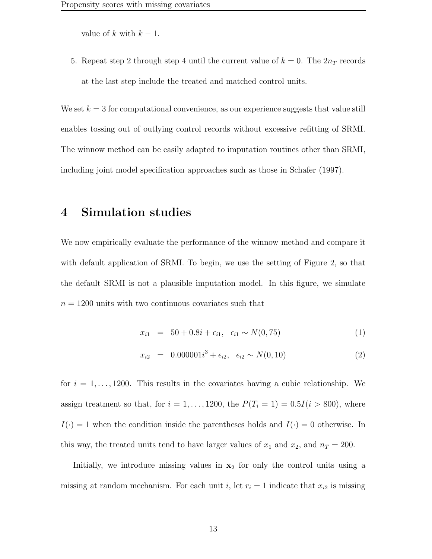value of k with  $k-1$ .

5. Repeat step 2 through step 4 until the current value of  $k = 0$ . The  $2n<sub>T</sub>$  records at the last step include the treated and matched control units.

We set  $k = 3$  for computational convenience, as our experience suggests that value still enables tossing out of outlying control records without excessive refitting of SRMI. The winnow method can be easily adapted to imputation routines other than SRMI, including joint model specification approaches such as those in Schafer (1997).

### 4 Simulation studies

We now empirically evaluate the performance of the winnow method and compare it with default application of SRMI. To begin, we use the setting of Figure 2, so that the default SRMI is not a plausible imputation model. In this figure, we simulate  $n = 1200$  units with two continuous covariates such that

$$
x_{i1} = 50 + 0.8i + \epsilon_{i1}, \quad \epsilon_{i1} \sim N(0, 75) \tag{1}
$$

$$
x_{i2} = 0.000001i^3 + \epsilon_{i2}, \quad \epsilon_{i2} \sim N(0, 10) \tag{2}
$$

for  $i = 1, \ldots, 1200$ . This results in the covariates having a cubic relationship. We assign treatment so that, for  $i = 1, ..., 1200$ , the  $P(T_i = 1) = 0.5I(i > 800)$ , where  $I(\cdot) = 1$  when the condition inside the parentheses holds and  $I(\cdot) = 0$  otherwise. In this way, the treated units tend to have larger values of  $x_1$  and  $x_2$ , and  $n_T = 200$ .

Initially, we introduce missing values in  $x_2$  for only the control units using a missing at random mechanism. For each unit i, let  $r_i = 1$  indicate that  $x_{i2}$  is missing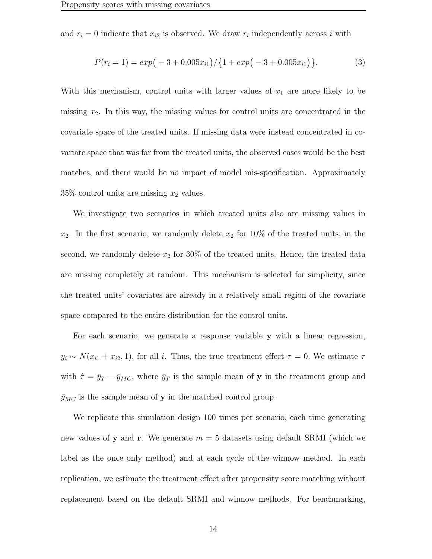and  $r_i = 0$  indicate that  $x_{i2}$  is observed. We draw  $r_i$  independently across i with

$$
P(r_i = 1) = exp(-3 + 0.005x_{i1}) / (1 + exp(-3 + 0.005x_{i1})).
$$
\n(3)

With this mechanism, control units with larger values of  $x_1$  are more likely to be missing  $x_2$ . In this way, the missing values for control units are concentrated in the covariate space of the treated units. If missing data were instead concentrated in covariate space that was far from the treated units, the observed cases would be the best matches, and there would be no impact of model mis-specification. Approximately  $35\%$  control units are missing  $x_2$  values.

We investigate two scenarios in which treated units also are missing values in  $x_2$ . In the first scenario, we randomly delete  $x_2$  for 10% of the treated units; in the second, we randomly delete  $x_2$  for 30% of the treated units. Hence, the treated data are missing completely at random. This mechanism is selected for simplicity, since the treated units' covariates are already in a relatively small region of the covariate space compared to the entire distribution for the control units.

For each scenario, we generate a response variable y with a linear regression,  $y_i \sim N(x_{i1} + x_{i2}, 1)$ , for all i. Thus, the true treatment effect  $\tau = 0$ . We estimate  $\tau$ with  $\hat{\tau} = \bar{y}_T - \bar{y}_{MC}$ , where  $\bar{y}_T$  is the sample mean of y in the treatment group and  $\bar{y}_{MC}$  is the sample mean of **y** in the matched control group.

We replicate this simulation design 100 times per scenario, each time generating new values of **y** and **r**. We generate  $m = 5$  datasets using default SRMI (which we label as the once only method) and at each cycle of the winnow method. In each replication, we estimate the treatment effect after propensity score matching without replacement based on the default SRMI and winnow methods. For benchmarking,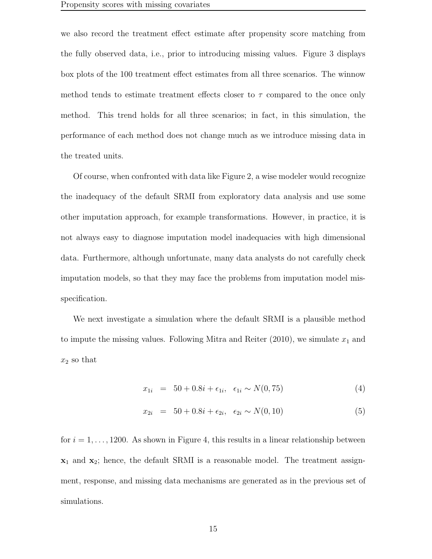we also record the treatment effect estimate after propensity score matching from the fully observed data, i.e., prior to introducing missing values. Figure 3 displays box plots of the 100 treatment effect estimates from all three scenarios. The winnow method tends to estimate treatment effects closer to  $\tau$  compared to the once only method. This trend holds for all three scenarios; in fact, in this simulation, the performance of each method does not change much as we introduce missing data in the treated units.

Of course, when confronted with data like Figure 2, a wise modeler would recognize the inadequacy of the default SRMI from exploratory data analysis and use some other imputation approach, for example transformations. However, in practice, it is not always easy to diagnose imputation model inadequacies with high dimensional data. Furthermore, although unfortunate, many data analysts do not carefully check imputation models, so that they may face the problems from imputation model misspecification.

We next investigate a simulation where the default SRMI is a plausible method to impute the missing values. Following Mitra and Reiter  $(2010)$ , we simulate  $x_1$  and  $x_2$  so that

$$
x_{1i} = 50 + 0.8i + \epsilon_{1i}, \quad \epsilon_{1i} \sim N(0, 75) \tag{4}
$$

$$
x_{2i} = 50 + 0.8i + \epsilon_{2i}, \quad \epsilon_{2i} \sim N(0, 10) \tag{5}
$$

for  $i = 1, \ldots, 1200$ . As shown in Figure 4, this results in a linear relationship between  $x_1$  and  $x_2$ ; hence, the default SRMI is a reasonable model. The treatment assignment, response, and missing data mechanisms are generated as in the previous set of simulations.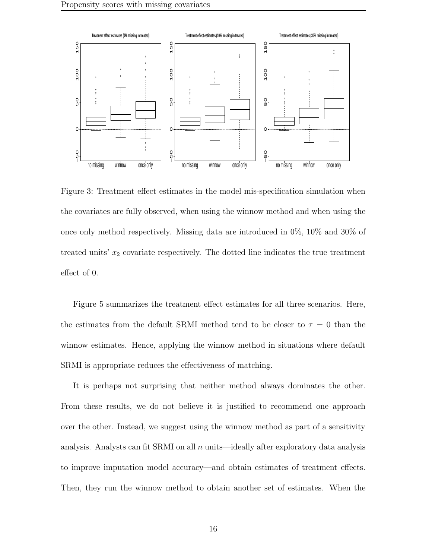

Figure 3: Treatment effect estimates in the model mis-specification simulation when the covariates are fully observed, when using the winnow method and when using the once only method respectively. Missing data are introduced in 0%, 10% and 30% of treated units'  $x_2$  covariate respectively. The dotted line indicates the true treatment effect of 0.

Figure 5 summarizes the treatment effect estimates for all three scenarios. Here, the estimates from the default SRMI method tend to be closer to  $\tau = 0$  than the winnow estimates. Hence, applying the winnow method in situations where default SRMI is appropriate reduces the effectiveness of matching.

It is perhaps not surprising that neither method always dominates the other. From these results, we do not believe it is justified to recommend one approach over the other. Instead, we suggest using the winnow method as part of a sensitivity analysis. Analysts can fit SRMI on all  $n$  units—ideally after exploratory data analysis to improve imputation model accuracy—and obtain estimates of treatment effects. Then, they run the winnow method to obtain another set of estimates. When the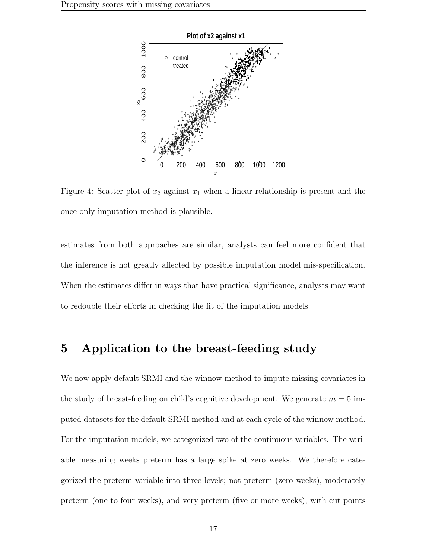

Figure 4: Scatter plot of  $x_2$  against  $x_1$  when a linear relationship is present and the once only imputation method is plausible.

estimates from both approaches are similar, analysts can feel more confident that the inference is not greatly affected by possible imputation model mis-specification. When the estimates differ in ways that have practical significance, analysts may want to redouble their efforts in checking the fit of the imputation models.

### 5 Application to the breast-feeding study

We now apply default SRMI and the winnow method to impute missing covariates in the study of breast-feeding on child's cognitive development. We generate  $m = 5$  imputed datasets for the default SRMI method and at each cycle of the winnow method. For the imputation models, we categorized two of the continuous variables. The variable measuring weeks preterm has a large spike at zero weeks. We therefore categorized the preterm variable into three levels; not preterm (zero weeks), moderately preterm (one to four weeks), and very preterm (five or more weeks), with cut points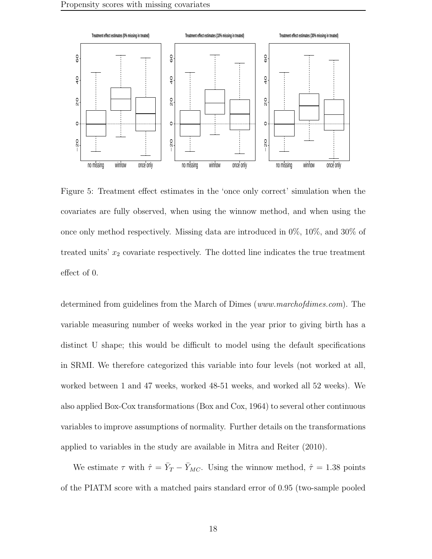

Figure 5: Treatment effect estimates in the 'once only correct' simulation when the covariates are fully observed, when using the winnow method, and when using the once only method respectively. Missing data are introduced in 0%, 10%, and 30% of treated units'  $x_2$  covariate respectively. The dotted line indicates the true treatment effect of 0.

determined from guidelines from the March of Dimes (www.marchofdimes.com). The variable measuring number of weeks worked in the year prior to giving birth has a distinct U shape; this would be difficult to model using the default specifications in SRMI. We therefore categorized this variable into four levels (not worked at all, worked between 1 and 47 weeks, worked 48-51 weeks, and worked all 52 weeks). We also applied Box-Cox transformations (Box and Cox, 1964) to several other continuous variables to improve assumptions of normality. Further details on the transformations applied to variables in the study are available in Mitra and Reiter (2010).

We estimate  $\tau$  with  $\hat{\tau} = \bar{Y}_T - \bar{Y}_{MC}$ . Using the winnow method,  $\hat{\tau} = 1.38$  points of the PIATM score with a matched pairs standard error of 0.95 (two-sample pooled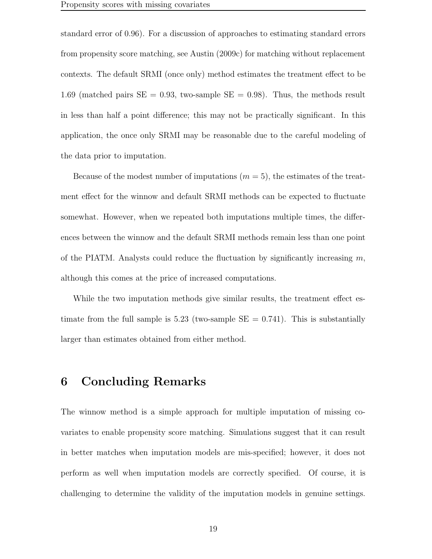standard error of 0.96). For a discussion of approaches to estimating standard errors from propensity score matching, see Austin (2009c) for matching without replacement contexts. The default SRMI (once only) method estimates the treatment effect to be 1.69 (matched pairs  $SE = 0.93$ , two-sample  $SE = 0.98$ ). Thus, the methods result in less than half a point difference; this may not be practically significant. In this application, the once only SRMI may be reasonable due to the careful modeling of the data prior to imputation.

Because of the modest number of imputations  $(m = 5)$ , the estimates of the treatment effect for the winnow and default SRMI methods can be expected to fluctuate somewhat. However, when we repeated both imputations multiple times, the differences between the winnow and the default SRMI methods remain less than one point of the PIATM. Analysts could reduce the fluctuation by significantly increasing  $m$ , although this comes at the price of increased computations.

While the two imputation methods give similar results, the treatment effect estimate from the full sample is 5.23 (two-sample  $SE = 0.741$ ). This is substantially larger than estimates obtained from either method.

### 6 Concluding Remarks

The winnow method is a simple approach for multiple imputation of missing covariates to enable propensity score matching. Simulations suggest that it can result in better matches when imputation models are mis-specified; however, it does not perform as well when imputation models are correctly specified. Of course, it is challenging to determine the validity of the imputation models in genuine settings.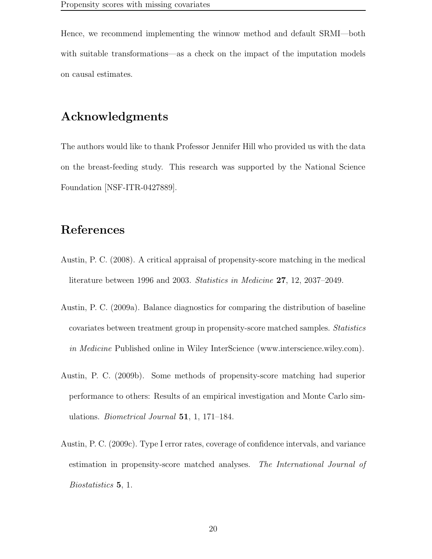Hence, we recommend implementing the winnow method and default SRMI—both with suitable transformations—as a check on the impact of the imputation models on causal estimates.

## Acknowledgments

The authors would like to thank Professor Jennifer Hill who provided us with the data on the breast-feeding study. This research was supported by the National Science Foundation [NSF-ITR-0427889].

## References

- Austin, P. C. (2008). A critical appraisal of propensity-score matching in the medical literature between 1996 and 2003. Statistics in Medicine 27, 12, 2037–2049.
- Austin, P. C. (2009a). Balance diagnostics for comparing the distribution of baseline covariates between treatment group in propensity-score matched samples. Statistics in *Medicine* Published online in Wiley InterScience (www.interscience.wiley.com).
- Austin, P. C. (2009b). Some methods of propensity-score matching had superior performance to others: Results of an empirical investigation and Monte Carlo simulations. Biometrical Journal 51, 1, 171–184.
- Austin, P. C. (2009c). Type I error rates, coverage of confidence intervals, and variance estimation in propensity-score matched analyses. The International Journal of Biostatistics 5, 1.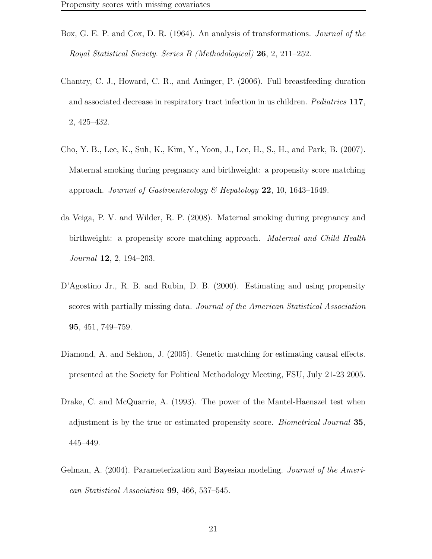- Box, G. E. P. and Cox, D. R. (1964). An analysis of transformations. Journal of the Royal Statistical Society. Series B (Methodological) 26, 2, 211–252.
- Chantry, C. J., Howard, C. R., and Auinger, P. (2006). Full breastfeeding duration and associated decrease in respiratory tract infection in us children. Pediatrics 117, 2, 425–432.
- Cho, Y. B., Lee, K., Suh, K., Kim, Y., Yoon, J., Lee, H., S., H., and Park, B. (2007). Maternal smoking during pregnancy and birthweight: a propensity score matching approach. Journal of Gastroenterology & Hepatology  $22$ , 10, 1643–1649.
- da Veiga, P. V. and Wilder, R. P. (2008). Maternal smoking during pregnancy and birthweight: a propensity score matching approach. *Maternal and Child Health* Journal 12, 2, 194–203.
- D'Agostino Jr., R. B. and Rubin, D. B. (2000). Estimating and using propensity scores with partially missing data. Journal of the American Statistical Association 95, 451, 749–759.
- Diamond, A. and Sekhon, J. (2005). Genetic matching for estimating causal effects. presented at the Society for Political Methodology Meeting, FSU, July 21-23 2005.
- Drake, C. and McQuarrie, A. (1993). The power of the Mantel-Haenszel test when adjustment is by the true or estimated propensity score. Biometrical Journal 35, 445–449.
- Gelman, A. (2004). Parameterization and Bayesian modeling. Journal of the American Statistical Association 99, 466, 537–545.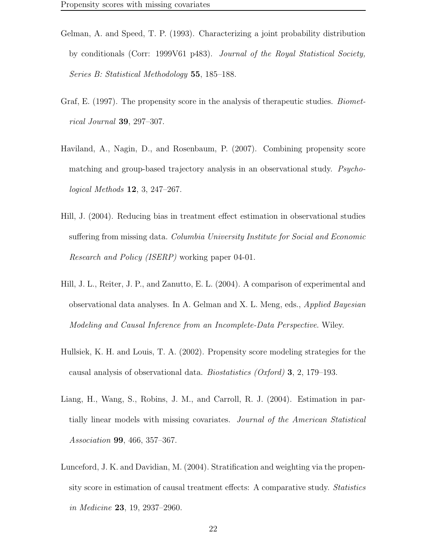- Gelman, A. and Speed, T. P. (1993). Characterizing a joint probability distribution by conditionals (Corr: 1999V61 p483). Journal of the Royal Statistical Society, Series B: Statistical Methodology 55, 185–188.
- Graf, E. (1997). The propensity score in the analysis of the rapeutic studies. *Biomet*rical Journal 39, 297–307.
- Haviland, A., Nagin, D., and Rosenbaum, P. (2007). Combining propensity score matching and group-based trajectory analysis in an observational study. Psychological Methods 12, 3, 247–267.
- Hill, J. (2004). Reducing bias in treatment effect estimation in observational studies suffering from missing data. Columbia University Institute for Social and Economic Research and Policy (ISERP) working paper 04-01.
- Hill, J. L., Reiter, J. P., and Zanutto, E. L. (2004). A comparison of experimental and observational data analyses. In A. Gelman and X. L. Meng, eds., Applied Bayesian Modeling and Causal Inference from an Incomplete-Data Perspective. Wiley.
- Hullsiek, K. H. and Louis, T. A. (2002). Propensity score modeling strategies for the causal analysis of observational data. Biostatistics (Oxford) 3, 2, 179–193.
- Liang, H., Wang, S., Robins, J. M., and Carroll, R. J. (2004). Estimation in partially linear models with missing covariates. Journal of the American Statistical Association 99, 466, 357–367.
- Lunceford, J. K. and Davidian, M. (2004). Stratification and weighting via the propensity score in estimation of causal treatment effects: A comparative study. Statistics in Medicine 23, 19, 2937–2960.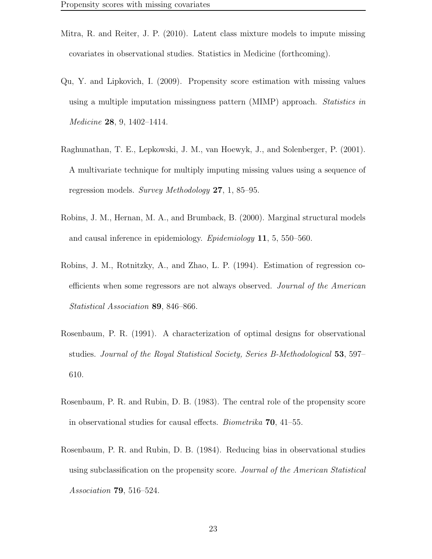- Mitra, R. and Reiter, J. P. (2010). Latent class mixture models to impute missing covariates in observational studies. Statistics in Medicine (forthcoming).
- Qu, Y. and Lipkovich, I. (2009). Propensity score estimation with missing values using a multiple imputation missingness pattern (MIMP) approach. Statistics in Medicine 28, 9, 1402–1414.
- Raghunathan, T. E., Lepkowski, J. M., van Hoewyk, J., and Solenberger, P. (2001). A multivariate technique for multiply imputing missing values using a sequence of regression models. Survey Methodology 27, 1, 85–95.
- Robins, J. M., Hernan, M. A., and Brumback, B. (2000). Marginal structural models and causal inference in epidemiology. Epidemiology 11, 5, 550–560.
- Robins, J. M., Rotnitzky, A., and Zhao, L. P. (1994). Estimation of regression coefficients when some regressors are not always observed. Journal of the American Statistical Association 89, 846–866.
- Rosenbaum, P. R. (1991). A characterization of optimal designs for observational studies. Journal of the Royal Statistical Society, Series B-Methodological 53, 597– 610.
- Rosenbaum, P. R. and Rubin, D. B. (1983). The central role of the propensity score in observational studies for causal effects. Biometrika 70, 41–55.
- Rosenbaum, P. R. and Rubin, D. B. (1984). Reducing bias in observational studies using subclassification on the propensity score. Journal of the American Statistical Association 79, 516–524.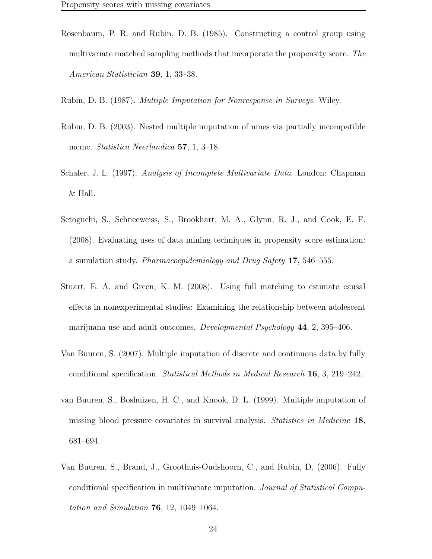- Rosenbaum, P. R. and Rubin, D. B. (1985). Constructing a control group using multivariate matched sampling methods that incorporate the propensity score. The American Statistician 39, 1, 33–38.
- Rubin, D. B. (1987). Multiple Imputation for Nonresponse in Surveys. Wiley.
- Rubin, D. B. (2003). Nested multiple imputation of nmes via partially incompatible mcmc. *Statistica Neerlandica* 57, 1, 3–18.
- Schafer, J. L. (1997). Analysis of Incomplete Multivariate Data. London: Chapman & Hall.
- Setoguchi, S., Schneeweiss, S., Brookhart, M. A., Glynn, R. J., and Cook, E. F. (2008). Evaluating uses of data mining techniques in propensity score estimation: a simulation study. Pharmacoepidemiology and Drug Safety 17, 546–555.
- Stuart, E. A. and Green, K. M. (2008). Using full matching to estimate causal effects in nonexperimental studies: Examining the relationship between adolescent marijuana use and adult outcomes. Developmental Psychology 44, 2, 395–406.
- Van Buuren, S. (2007). Multiple imputation of discrete and continuous data by fully conditional specification. Statistical Methods in Medical Research 16, 3, 219–242.
- van Buuren, S., Boshuizen, H. C., and Knook, D. L. (1999). Multiple imputation of missing blood pressure covariates in survival analysis. Statistics in Medicine 18, 681–694.
- Van Buuren, S., Brand, J., Groothuis-Oudshoorn, C., and Rubin, D. (2006). Fully conditional specification in multivariate imputation. Journal of Statistical Computation and Simulation 76, 12, 1049–1064.